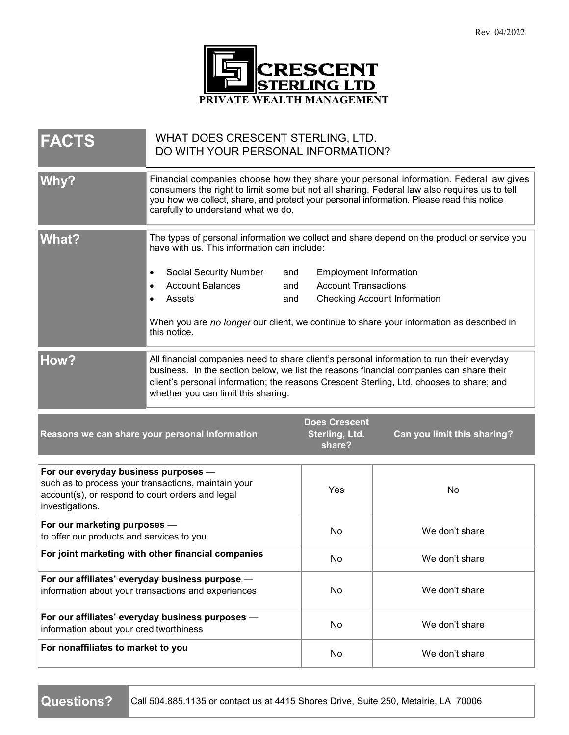

| <b>FACTS</b>                                                                                                                                                       | WHAT DOES CRESCENT STERLING, LTD.<br>DO WITH YOUR PERSONAL INFORMATION?                                                                                                                                                                                                                                                   |                                                  |                                     |
|--------------------------------------------------------------------------------------------------------------------------------------------------------------------|---------------------------------------------------------------------------------------------------------------------------------------------------------------------------------------------------------------------------------------------------------------------------------------------------------------------------|--------------------------------------------------|-------------------------------------|
| Why?                                                                                                                                                               | Financial companies choose how they share your personal information. Federal law gives<br>consumers the right to limit some but not all sharing. Federal law also requires us to tell<br>you how we collect, share, and protect your personal information. Please read this notice<br>carefully to understand what we do. |                                                  |                                     |
| <b>What?</b>                                                                                                                                                       | The types of personal information we collect and share depend on the product or service you<br>have with us. This information can include:                                                                                                                                                                                |                                                  |                                     |
|                                                                                                                                                                    | Social Security Number<br>and<br>٠                                                                                                                                                                                                                                                                                        | <b>Employment Information</b>                    |                                     |
|                                                                                                                                                                    | <b>Account Balances</b><br>and                                                                                                                                                                                                                                                                                            | <b>Account Transactions</b>                      |                                     |
|                                                                                                                                                                    | Assets<br>and                                                                                                                                                                                                                                                                                                             |                                                  | <b>Checking Account Information</b> |
|                                                                                                                                                                    | When you are no longer our client, we continue to share your information as described in<br>this notice.                                                                                                                                                                                                                  |                                                  |                                     |
| How?                                                                                                                                                               | All financial companies need to share client's personal information to run their everyday<br>business. In the section below, we list the reasons financial companies can share their<br>client's personal information; the reasons Crescent Sterling, Ltd. chooses to share; and<br>whether you can limit this sharing.   |                                                  |                                     |
| Reasons we can share your personal information                                                                                                                     |                                                                                                                                                                                                                                                                                                                           | <b>Does Crescent</b><br>Sterling, Ltd.<br>share? | Can you limit this sharing?         |
| For our everyday business purposes -<br>such as to process your transactions, maintain your<br>account(s), or respond to court orders and legal<br>investigations. |                                                                                                                                                                                                                                                                                                                           | Yes                                              | No                                  |
| For our marketing purposes -<br>to offer our products and services to you                                                                                          |                                                                                                                                                                                                                                                                                                                           | No                                               | We don't share                      |
| For joint marketing with other financial companies                                                                                                                 |                                                                                                                                                                                                                                                                                                                           | No                                               | We don't share                      |
| For our affiliates' everyday business purpose -<br>information about your transactions and experiences                                                             |                                                                                                                                                                                                                                                                                                                           | No                                               | We don't share                      |
| For our affiliates' everyday business purposes -<br>information about your creditworthiness                                                                        |                                                                                                                                                                                                                                                                                                                           | No                                               | We don't share                      |
| For nonaffiliates to market to you                                                                                                                                 |                                                                                                                                                                                                                                                                                                                           | No                                               | We don't share                      |